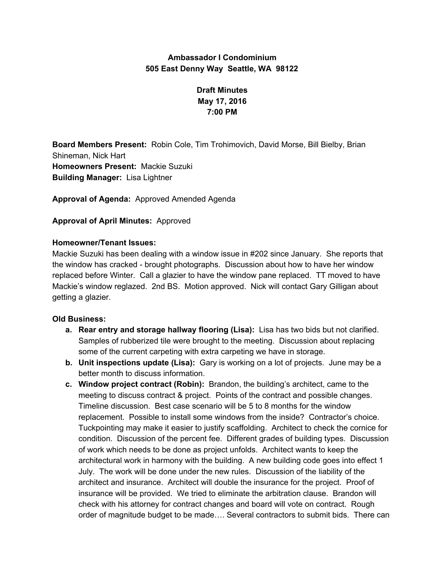## **Ambassador I Condominium 505 East Denny Way Seattle, WA 98122**

# **Draft Minutes May 17, 2016 7:00 PM**

**Board Members Present:** Robin Cole, Tim Trohimovich, David Morse, Bill Bielby, Brian Shineman, Nick Hart **Homeowners Present:** Mackie Suzuki **Building Manager:** Lisa Lightner

**Approval of Agenda:** Approved Amended Agenda

### **Approval of April Minutes:** Approved

### **Homeowner/Tenant Issues:**

Mackie Suzuki has been dealing with a window issue in #202 since January. She reports that the window has cracked - brought photographs. Discussion about how to have her window replaced before Winter. Call a glazier to have the window pane replaced. TT moved to have Mackie's window reglazed. 2nd BS. Motion approved. Nick will contact Gary Gilligan about getting a glazier.

### **Old Business:**

- **a. Rear entry and storage hallway flooring (Lisa):** Lisa has two bids but not clarified. Samples of rubberized tile were brought to the meeting. Discussion about replacing some of the current carpeting with extra carpeting we have in storage.
- **b. Unit inspections update (Lisa):** Gary is working on a lot of projects. June may be a better month to discuss information.
- **c. Window project contract (Robin):** Brandon, the building's architect, came to the meeting to discuss contract & project. Points of the contract and possible changes. Timeline discussion. Best case scenario will be 5 to 8 months for the window replacement. Possible to install some windows from the inside? Contractor's choice. Tuckpointing may make it easier to justify scaffolding. Architect to check the cornice for condition. Discussion of the percent fee. Different grades of building types. Discussion of work which needs to be done as project unfolds. Architect wants to keep the architectural work in harmony with the building. A new building code goes into effect 1 July. The work will be done under the new rules. Discussion of the liability of the architect and insurance. Architect will double the insurance for the project. Proof of insurance will be provided. We tried to eliminate the arbitration clause. Brandon will check with his attorney for contract changes and board will vote on contract. Rough order of magnitude budget to be made…. Several contractors to submit bids. There can